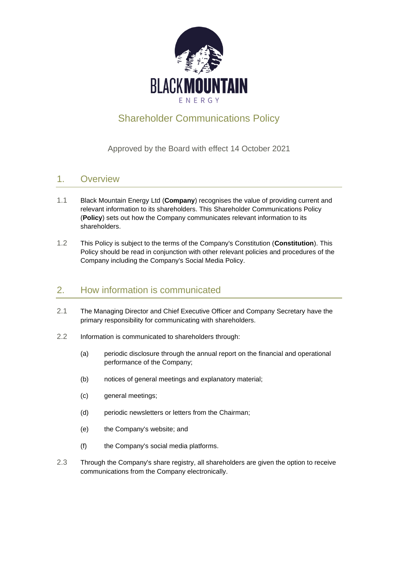

# Shareholder Communications Policy

#### Approved by the Board with effect 14 October 2021

#### 1. Overview

- 1.1 Black Mountain Energy Ltd (**Company**) recognises the value of providing current and relevant information to its shareholders. This Shareholder Communications Policy (**Policy**) sets out how the Company communicates relevant information to its shareholders.
- 1.2 This Policy is subject to the terms of the Company's Constitution (**Constitution**). This Policy should be read in conjunction with other relevant policies and procedures of the Company including the Company's Social Media Policy.

#### 2. How information is communicated

- 2.1 The Managing Director and Chief Executive Officer and Company Secretary have the primary responsibility for communicating with shareholders.
- 2.2 Information is communicated to shareholders through:
	- (a) periodic disclosure through the annual report on the financial and operational performance of the Company;
	- (b) notices of general meetings and explanatory material;
	- (c) general meetings;
	- (d) periodic newsletters or letters from the Chairman;
	- (e) the Company's website; and
	- (f) the Company's social media platforms.
- 2.3 Through the Company's share registry, all shareholders are given the option to receive communications from the Company electronically.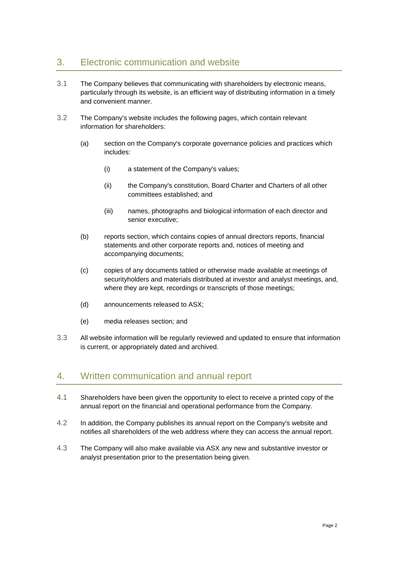## 3. Electronic communication and website

- 3.1 The Company believes that communicating with shareholders by electronic means, particularly through its website, is an efficient way of distributing information in a timely and convenient manner.
- 3.2 The Company's website includes the following pages, which contain relevant information for shareholders:
	- (a) section on the Company's corporate governance policies and practices which includes:
		- (i) a statement of the Company's values;
		- (ii) the Company's constitution, Board Charter and Charters of all other committees established; and
		- (iii) names, photographs and biological information of each director and senior executive;
	- (b) reports section, which contains copies of annual directors reports, financial statements and other corporate reports and, notices of meeting and accompanying documents;
	- (c) copies of any documents tabled or otherwise made available at meetings of securityholders and materials distributed at investor and analyst meetings, and, where they are kept, recordings or transcripts of those meetings;
	- (d) announcements released to ASX;
	- (e) media releases section*;* and
- 3.3 All website information will be regularly reviewed and updated to ensure that information is current, or appropriately dated and archived.

#### 4. Written communication and annual report

- 4.1 Shareholders have been given the opportunity to elect to receive a printed copy of the annual report on the financial and operational performance from the Company.
- 4.2 In addition, the Company publishes its annual report on the Company's website and notifies all shareholders of the web address where they can access the annual report.
- 4.3 The Company will also make available via ASX any new and substantive investor or analyst presentation prior to the presentation being given.